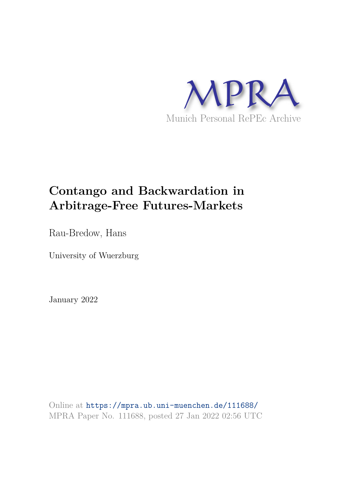

# **Contango and Backwardation in Arbitrage-Free Futures-Markets**

Rau-Bredow, Hans

University of Wuerzburg

January 2022

Online at https://mpra.ub.uni-muenchen.de/111688/ MPRA Paper No. 111688, posted 27 Jan 2022 02:56 UTC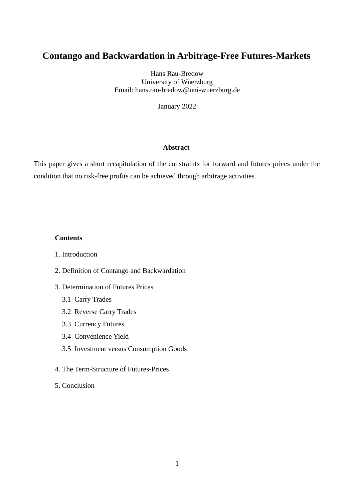# **Contango and Backwardation in Arbitrage-Free Futures-Markets**

Hans Rau-Bredow University of Wuerzburg Email: hans.rau-bredow@uni-wuerzburg.de

January 2022

# **Abstract**

This paper gives a short recapitulation of the constraints for forward and futures prices under the condition that no risk-free profits can be achieved through arbitrage activities.

#### **Contents**

- 1. Introduction
- 2. Definition of Contango and Backwardation
- 3. Determination of Futures Prices
	- 3.1 Carry Trades
	- 3.2 Reverse Carry Trades
	- 3.3 Currency Futures
	- 3.4 Convenience Yield
	- 3.5 Investment versus Consumption Goods
- 4. The Term-Structure of Futures-Prices
- 5. Conclusion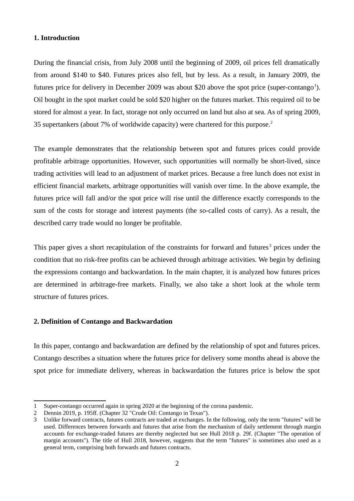#### **1. Introduction**

During the financial crisis, from July 2008 until the beginning of 2009, oil prices fell dramatically from around \$140 to \$40. Futures prices also fell, but by less. As a result, in January 2009, the futures price for delivery in December 2009 was about \$20 above the spot price (super-contango<sup>1</sup>). Oil bought in the spot market could be sold \$20 higher on the futures market. This required oil to be stored for almost a year. In fact, storage not only occurred on land but also at sea. As of spring 2009, 35 supertankers (about 7% of worldwide capacity) were chartered for this purpose.<sup>2</sup>

The example demonstrates that the relationship between spot and futures prices could provide profitable arbitrage opportunities. However, such opportunities will normally be short-lived, since trading activities will lead to an adjustment of market prices. Because a free lunch does not exist in efficient financial markets, arbitrage opportunities will vanish over time. In the above example, the futures price will fall and/or the spot price will rise until the difference exactly corresponds to the sum of the costs for storage and interest payments (the so-called costs of carry). As a result, the described carry trade would no longer be profitable.

This paper gives a short recapitulation of the constraints for forward and futures<sup>3</sup> prices under the condition that no risk-free profits can be achieved through arbitrage activities. We begin by defining the expressions contango and backwardation. In the main chapter, it is analyzed how futures prices are determined in arbitrage-free markets. Finally, we also take a short look at the whole term structure of futures prices.

## **2. Definition of Contango and Backwardation**

In this paper, contango and backwardation are defined by the relationship of spot and futures prices. Contango describes a situation where the futures price for delivery some months ahead is above the spot price for immediate delivery, whereas in backwardation the futures price is below the spot

<sup>1</sup> Super-contango occurred again in spring 2020 at the beginning of the corona pandemic.

<sup>2</sup> Dennin 2019, p. 195ff. (Chapter 32 "Crude Oil: Contango in Texas").

<sup>3</sup> Unlike forward contracts, futures contracts are traded at exchanges. In the following, only the term "futures" will be used. Differences between forwards and futures that arise from the mechanism of daily settlement through margin accounts for exchange-traded futures are thereby neglected but see Hull 2018 p. 29f. (Chapter "The operation of margin accounts"). The title of Hull 2018, however, suggests that the term "futures" is sometimes also used as a general term, comprising both forwards and futures contracts.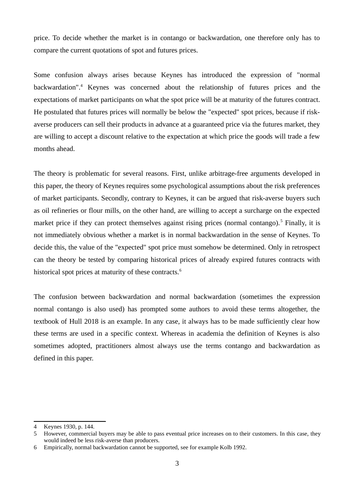price. To decide whether the market is in contango or backwardation, one therefore only has to compare the current quotations of spot and futures prices.

Some confusion always arises because Keynes has introduced the expression of "normal backwardation".<sup>4</sup> Keynes was concerned about the relationship of futures prices and the expectations of market participants on what the spot price will be at maturity of the futures contract. He postulated that futures prices will normally be below the "expected" spot prices, because if riskaverse producers can sell their products in advance at a guaranteed price via the futures market, they are willing to accept a discount relative to the expectation at which price the goods will trade a few months ahead.

The theory is problematic for several reasons. First, unlike arbitrage-free arguments developed in this paper, the theory of Keynes requires some psychological assumptions about the risk preferences of market participants. Secondly, contrary to Keynes, it can be argued that risk-averse buyers such as oil refineries or flour mills, on the other hand, are willing to accept a surcharge on the expected market price if they can protect themselves against rising prices (normal contango).<sup>5</sup> Finally, it is not immediately obvious whether a market is in normal backwardation in the sense of Keynes. To decide this, the value of the "expected" spot price must somehow be determined. Only in retrospect can the theory be tested by comparing historical prices of already expired futures contracts with historical spot prices at maturity of these contracts.<sup>6</sup>

The confusion between backwardation and normal backwardation (sometimes the expression normal contango is also used) has prompted some authors to avoid these terms altogether, the textbook of Hull 2018 is an example. In any case, it always has to be made sufficiently clear how these terms are used in a specific context. Whereas in academia the definition of Keynes is also sometimes adopted, practitioners almost always use the terms contango and backwardation as defined in this paper.

<sup>4</sup> Keynes 1930, p. 144.

<sup>5</sup> However, commercial buyers may be able to pass eventual price increases on to their customers. In this case, they would indeed be less risk-averse than producers.

<sup>6</sup> Empirically, normal backwardation cannot be supported, see for example Kolb 1992.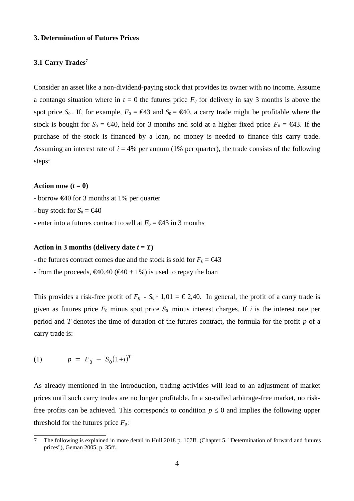#### **3. Determination of Futures Prices**

# **3.1 Carry Trades<sup>7</sup>**

Consider an asset like a non-dividend-paying stock that provides its owner with no income. Assume a contango situation where in  $t = 0$  the futures price  $F_0$  for delivery in say 3 months is above the spot price  $S_0$ . If, for example,  $F_0 = \epsilon 43$  and  $S_0 = \epsilon 40$ , a carry trade might be profitable where the stock is bought for  $S_0 = \epsilon 40$ , held for 3 months and sold at a higher fixed price  $F_0 = \epsilon 43$ . If the purchase of the stock is financed by a loan, no money is needed to finance this carry trade. Assuming an interest rate of  $i = 4\%$  per annum (1% per quarter), the trade consists of the following steps:

## Action now  $(t = 0)$

- borrow  $\epsilon$ 40 for 3 months at 1% per quarter
- buy stock for  $S_0 = \epsilon 40$
- enter into a futures contract to sell at  $F_0 = \epsilon 43$  in 3 months

#### **Action in 3 months (delivery date** *t = T***)**

- the futures contract comes due and the stock is sold for  $F_0 = \epsilon 43$
- from the proceeds,  $\epsilon$ 40.40 ( $\epsilon$ 40 + 1%) is used to repay the loan

This provides a risk-free profit of  $F_0$  -  $S_0 \cdot 1,01 = \epsilon$  2,40. In general, the profit of a carry trade is given as futures price  $F_0$  minus spot price  $S_0$  minus interest charges. If *i* is the interest rate per period and *T* denotes the time of duration of the futures contract, the formula for the profit *p* of a carry trade is:

(1) 
$$
p = F_0 - S_0(1+i)^T
$$

As already mentioned in the introduction, trading activities will lead to an adjustment of market prices until such carry trades are no longer profitable. In a so-called arbitrage-free market, no riskfree profits can be achieved. This corresponds to condition  $p \le 0$  and implies the following upper threshold for the futures price  $F_0$ :

<sup>7</sup> The following is explained in more detail in Hull 2018 p. 107ff. (Chapter 5. "Determination of forward and futures prices"), Geman 2005, p. 35ff.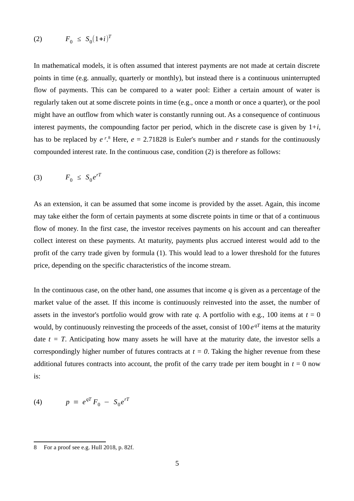$$
(2) \tF_0 \leq S_0(1+i)^T
$$

In mathematical models, it is often assumed that interest payments are not made at certain discrete points in time (e.g. annually, quarterly or monthly), but instead there is a continuous uninterrupted flow of payments. This can be compared to a water pool: Either a certain amount of water is regularly taken out at some discrete points in time (e.g., once a month or once a quarter), or the pool might have an outflow from which water is constantly running out. As a consequence of continuous interest payments, the compounding factor per period, which in the discrete case is given by 1+*i*, has to be replaced by  $e^{r}$ .<sup>8</sup> Here,  $e = 2.71828$  is Euler's number and  $r$  stands for the continuously compounded interest rate. In the continuous case, condition (2) is therefore as follows:

$$
(3) \tF_0 \leq S_0 e^{rT}
$$

As an extension, it can be assumed that some income is provided by the asset. Again, this income may take either the form of certain payments at some discrete points in time or that of a continuous flow of money. In the first case, the investor receives payments on his account and can thereafter collect interest on these payments. At maturity, payments plus accrued interest would add to the profit of the carry trade given by formula (1). This would lead to a lower threshold for the futures price, depending on the specific characteristics of the income stream.

In the continuous case, on the other hand, one assumes that income *q* is given as a percentage of the market value of the asset. If this income is continuously reinvested into the asset, the number of assets in the investor's portfolio would grow with rate  $q$ . A portfolio with e.g., 100 items at  $t = 0$ would, by continuously reinvesting the proceeds of the asset, consist of 100 *e qT* items at the maturity date  $t = T$ . Anticipating how many assets he will have at the maturity date, the investor sells a correspondingly higher number of futures contracts at  $t = 0$ . Taking the higher revenue from these additional futures contracts into account, the profit of the carry trade per item bought in  $t = 0$  now is:

(4) 
$$
p = e^{qT} F_0 - S_0 e^{rT}
$$

<sup>8</sup> For a proof see e.g. Hull 2018, p. 82f.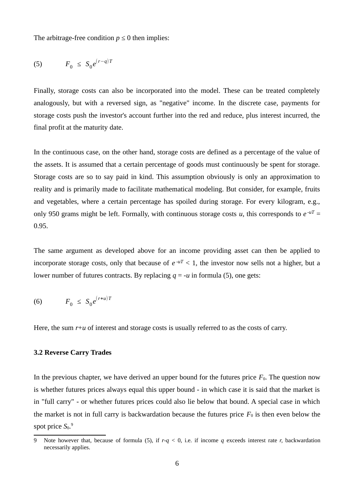The arbitrage-free condition  $p \leq 0$  then implies:

$$
(5) \tF_0 \leq S_0 e^{(r-q)T}
$$

Finally, storage costs can also be incorporated into the model. These can be treated completely analogously, but with a reversed sign, as "negative" income. In the discrete case, payments for storage costs push the investor's account further into the red and reduce, plus interest incurred, the final profit at the maturity date.

In the continuous case, on the other hand, storage costs are defined as a percentage of the value of the assets. It is assumed that a certain percentage of goods must continuously be spent for storage. Storage costs are so to say paid in kind. This assumption obviously is only an approximation to reality and is primarily made to facilitate mathematical modeling. But consider, for example, fruits and vegetables, where a certain percentage has spoiled during storage. For every kilogram, e.g., only 950 grams might be left. Formally, with continuous storage costs  $u$ , this corresponds to  $e^{-uT}$  = 0.95.

The same argument as developed above for an income providing asset can then be applied to incorporate storage costs, only that because of  $e^{-uT} < 1$ , the investor now sells not a higher, but a lower number of futures contracts. By replacing  $q = -u$  in formula (5), one gets:

$$
(6) \tF_0 \leq S_0 e^{(r+u)T}
$$

Here, the sum  $r+u$  of interest and storage costs is usually referred to as the costs of carry.

#### **3.2 Reverse Carry Trades**

In the previous chapter, we have derived an upper bound for the futures price  $F_0$ . The question now is whether futures prices always equal this upper bound - in which case it is said that the market is in "full carry" - or whether futures prices could also lie below that bound. A special case in which the market is not in full carry is backwardation because the futures price  $F_0$  is then even below the spot price S<sub>0</sub>.<sup>9</sup>

<sup>9</sup> Note however that, because of formula (5), if *r-q* < 0, i.e. if income *q* exceeds interest rate *r,* backwardation necessarily applies.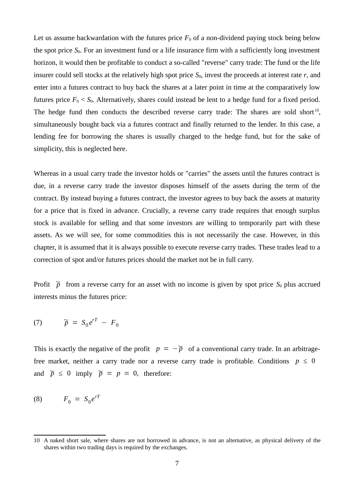Let us assume backwardation with the futures price  $F_0$  of a non-dividend paying stock being below the spot price  $S_0$ . For an investment fund or a life insurance firm with a sufficiently long investment horizon, it would then be profitable to conduct a so-called "reverse" carry trade: The fund or the life insurer could sell stocks at the relatively high spot price  $S_0$ , invest the proceeds at interest rate  $r$ , and enter into a futures contract to buy back the shares at a later point in time at the comparatively low futures price  $F_0 \leq S_0$ . Alternatively, shares could instead be lent to a hedge fund for a fixed period. The hedge fund then conducts the described reverse carry trade: The shares are sold short<sup>10</sup>, simultaneously bought back via a futures contract and finally returned to the lender. In this case, a lending fee for borrowing the shares is usually charged to the hedge fund, but for the sake of simplicity, this is neglected here.

Whereas in a usual carry trade the investor holds or "carries" the assets until the futures contract is due, in a reverse carry trade the investor disposes himself of the assets during the term of the contract. By instead buying a futures contract, the investor agrees to buy back the assets at maturity for a price that is fixed in advance. Crucially, a reverse carry trade requires that enough surplus stock is available for selling and that some investors are willing to temporarily part with these assets. As we will see, for some commodities this is not necessarily the case. However, in this chapter, it is assumed that it is always possible to execute reverse carry trades. These trades lead to a correction of spot and/or futures prices should the market not be in full carry.

Profit  $\tilde{p}$  from a reverse carry for an asset with no income is given by spot price  $S_0$  plus accrued interests minus the futures price:

$$
(7) \qquad \widetilde{p} = S_0 e^{rT} - F_0
$$

This is exactly the negative of the profit  $p = -\tilde{p}$  of a conventional carry trade. In an arbitragefree market, neither a carry trade nor a reverse carry trade is profitable. Conditions  $p \le 0$ and  $\widetilde{p} \le 0$  imply  $\widetilde{p} = p = 0$ , therefore:

$$
(8) \qquad F_0 = S_0 e^{rT}
$$

<sup>10</sup> A naked short sale, where shares are not borrowed in advance, is not an alternative, as physical delivery of the shares within two trading days is required by the exchanges.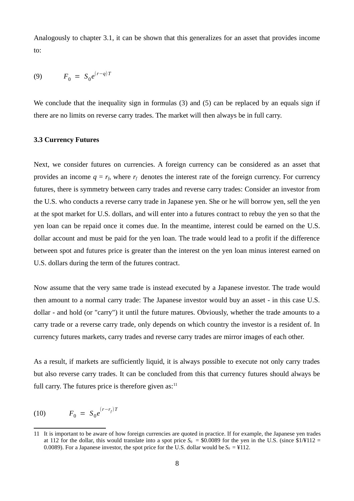Analogously to chapter 3.1, it can be shown that this generalizes for an asset that provides income to:

(9) 
$$
F_0 = S_0 e^{(r-q)T}
$$

We conclude that the inequality sign in formulas (3) and (5) can be replaced by an equals sign if there are no limits on reverse carry trades. The market will then always be in full carry.

#### **3.3 Currency Futures**

Next, we consider futures on currencies. A foreign currency can be considered as an asset that provides an income  $q = r_f$ , where  $r_f$  denotes the interest rate of the foreign currency. For currency futures, there is symmetry between carry trades and reverse carry trades: Consider an investor from the U.S. who conducts a reverse carry trade in Japanese yen. She or he will borrow yen, sell the yen at the spot market for U.S. dollars, and will enter into a futures contract to rebuy the yen so that the yen loan can be repaid once it comes due. In the meantime, interest could be earned on the U.S. dollar account and must be paid for the yen loan. The trade would lead to a profit if the difference between spot and futures price is greater than the interest on the yen loan minus interest earned on U.S. dollars during the term of the futures contract.

Now assume that the very same trade is instead executed by a Japanese investor. The trade would then amount to a normal carry trade: The Japanese investor would buy an asset - in this case U.S. dollar - and hold (or "carry") it until the future matures. Obviously, whether the trade amounts to a carry trade or a reverse carry trade, only depends on which country the investor is a resident of. In currency futures markets, carry trades and reverse carry trades are mirror images of each other.

As a result, if markets are sufficiently liquid, it is always possible to execute not only carry trades but also reverse carry trades. It can be concluded from this that currency futures should always be full carry. The futures price is therefore given  $as:$ <sup>11</sup>

(10) 
$$
F_0 = S_0 e^{(r - r_f)T}
$$

<sup>11</sup> It is important to be aware of how foreign currencies are quoted in practice. If for example, the Japanese yen trades at 112 for the dollar, this would translate into a spot price  $S_0 = $0.0089$  for the yen in the U.S. (since  $$1/¥112 =$ 0.0089). For a Japanese investor, the spot price for the U.S. dollar would be  $S_0 = 112$ .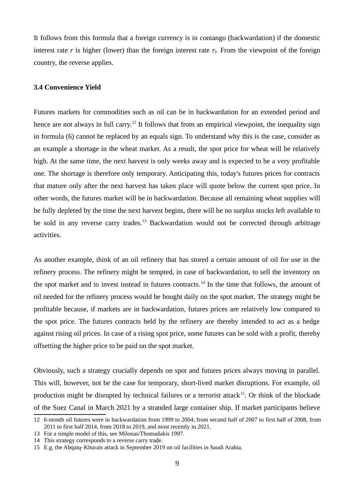It follows from this formula that a foreign currency is in contango (backwardation) if the domestic interest rate *r* is higher (lower) than the foreign interest rate *rf*. From the viewpoint of the foreign country, the reverse applies.

#### **3.4 Convenience Yield**

Futures markets for commodities such as oil can be in backwardation for an extended period and hence are not always in full carry.<sup>12</sup> It follows that from an empirical viewpoint, the inequality sign in formula (6) cannot be replaced by an equals sign. To understand why this is the case, consider as an example a shortage in the wheat market. As a result, the spot price for wheat will be relatively high. At the same time, the next harvest is only weeks away and is expected to be a very profitable one. The shortage is therefore only temporary. Anticipating this, today's futures prices for contracts that mature only after the next harvest has taken place will quote below the current spot price. In other words, the futures market will be in backwardation. Because all remaining wheat supplies will be fully depleted by the time the next harvest begins, there will be no surplus stocks left available to be sold in any reverse carry trades.<sup>13</sup> Backwardation would not be corrected through arbitrage activities.

As another example, think of an oil refinery that has stored a certain amount of oil for use in the refinery process. The refinery might be tempted, in case of backwardation, to sell the inventory on the spot market and to invest instead in futures contracts.<sup>14</sup> In the time that follows, the amount of oil needed for the refinery process would be bought daily on the spot market. The strategy might be profitable because, if markets are in backwardation, futures prices are relatively low compared to the spot price. The futures contracts held by the refinery are thereby intended to act as a hedge against rising oil prices. In case of a rising spot price, some futures can be sold with a profit, thereby offsetting the higher price to be paid on the spot market.

Obviously, such a strategy crucially depends on spot and futures prices always moving in parallel. This will, however, not be the case for temporary, short-lived market disruptions. For example, oil production might be disrupted by technical failures or a terrorist attack<sup>15</sup>. Or think of the blockade of the Suez Canal in March 2021 by a stranded large container ship. If market participants believe

<sup>12 6-</sup>month oil futures were in backwardation from 1999 to 2004, from second half of 2007 to first half of 2008, from 2011 to first half 2014, from 2018 to 2019, and most recently in 2021.

<sup>13</sup> For a simple model of this, see Milonas/Thomadakis 1997.

<sup>14</sup> This strategy corresponds to a reverse carry trade.

<sup>15</sup> E.g. the Abqaiq–Khurais attack in September 2019 on oil facilities in Saudi Arabia.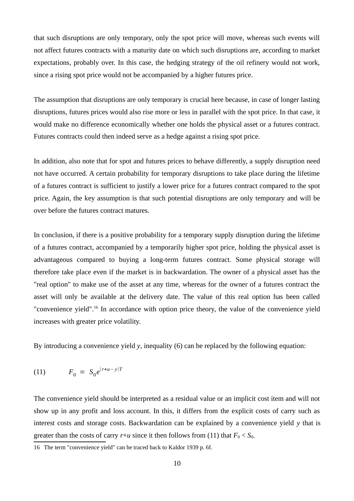that such disruptions are only temporary, only the spot price will move, whereas such events will not affect futures contracts with a maturity date on which such disruptions are, according to market expectations, probably over. In this case, the hedging strategy of the oil refinery would not work, since a rising spot price would not be accompanied by a higher futures price.

The assumption that disruptions are only temporary is crucial here because, in case of longer lasting disruptions, futures prices would also rise more or less in parallel with the spot price. In that case, it would make no difference economically whether one holds the physical asset or a futures contract. Futures contracts could then indeed serve as a hedge against a rising spot price.

In addition, also note that for spot and futures prices to behave differently, a supply disruption need not have occurred. A certain probability for temporary disruptions to take place during the lifetime of a futures contract is sufficient to justify a lower price for a futures contract compared to the spot price. Again, the key assumption is that such potential disruptions are only temporary and will be over before the futures contract matures.

In conclusion, if there is a positive probability for a temporary supply disruption during the lifetime of a futures contract, accompanied by a temporarily higher spot price, holding the physical asset is advantageous compared to buying a long-term futures contract. Some physical storage will therefore take place even if the market is in backwardation. The owner of a physical asset has the "real option" to make use of the asset at any time, whereas for the owner of a futures contract the asset will only be available at the delivery date. The value of this real option has been called "convenience yield".<sup>16</sup> In accordance with option price theory, the value of the convenience yield increases with greater price volatility.

By introducing a convenience yield *y*, inequality (6) can be replaced by the following equation:

(11) 
$$
F_0 = S_0 e^{(r+u-y)T}
$$

The convenience yield should be interpreted as a residual value or an implicit cost item and will not show up in any profit and loss account. In this, it differs from the explicit costs of carry such as interest costs and storage costs. Backwardation can be explained by a convenience yield *y* that is greater than the costs of carry  $r+u$  since it then follows from (11) that  $F_0 \leq S_0$ .

<sup>16</sup> The term "convenience yield" can be traced back to Kaldor 1939 p. 6f.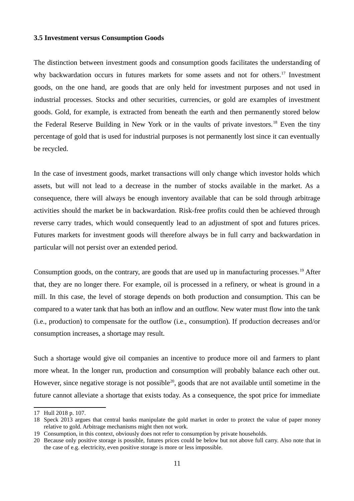#### **3.5 Investment versus Consumption Goods**

The distinction between investment goods and consumption goods facilitates the understanding of why backwardation occurs in futures markets for some assets and not for others.<sup>17</sup> Investment goods, on the one hand, are goods that are only held for investment purposes and not used in industrial processes. Stocks and other securities, currencies, or gold are examples of investment goods. Gold, for example, is extracted from beneath the earth and then permanently stored below the Federal Reserve Building in New York or in the vaults of private investors.<sup>18</sup> Even the tiny percentage of gold that is used for industrial purposes is not permanently lost since it can eventually be recycled.

In the case of investment goods, market transactions will only change which investor holds which assets, but will not lead to a decrease in the number of stocks available in the market. As a consequence, there will always be enough inventory available that can be sold through arbitrage activities should the market be in backwardation. Risk-free profits could then be achieved through reverse carry trades, which would consequently lead to an adjustment of spot and futures prices. Futures markets for investment goods will therefore always be in full carry and backwardation in particular will not persist over an extended period.

Consumption goods, on the contrary, are goods that are used up in manufacturing processes.<sup>19</sup> After that, they are no longer there. For example, oil is processed in a refinery, or wheat is ground in a mill. In this case, the level of storage depends on both production and consumption. This can be compared to a water tank that has both an inflow and an outflow. New water must flow into the tank (i.e., production) to compensate for the outflow (i.e., consumption). If production decreases and/or consumption increases, a shortage may result.

Such a shortage would give oil companies an incentive to produce more oil and farmers to plant more wheat. In the longer run, production and consumption will probably balance each other out. However, since negative storage is not possible<sup>20</sup>, goods that are not available until sometime in the future cannot alleviate a shortage that exists today. As a consequence, the spot price for immediate

<sup>17</sup> Hull 2018 p. 107.

<sup>18</sup> Speck 2013 argues that central banks manipulate the gold market in order to protect the value of paper money relative to gold. Arbitrage mechanisms might then not work.

<sup>19</sup> Consumption, in this context, obviously does not refer to consumption by private households.

<sup>20</sup> Because only positive storage is possible, futures prices could be below but not above full carry. Also note that in the case of e.g. electricity, even positive storage is more or less impossible.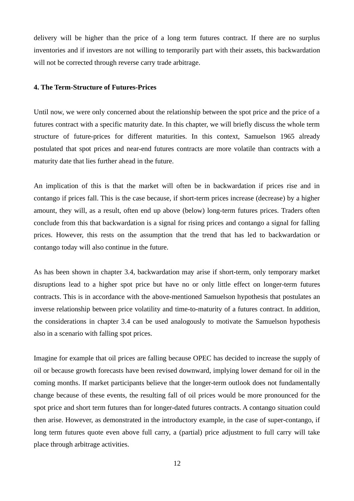delivery will be higher than the price of a long term futures contract. If there are no surplus inventories and if investors are not willing to temporarily part with their assets, this backwardation will not be corrected through reverse carry trade arbitrage.

#### **4. The Term-Structure of Futures-Prices**

Until now, we were only concerned about the relationship between the spot price and the price of a futures contract with a specific maturity date. In this chapter, we will briefly discuss the whole term structure of future-prices for different maturities. In this context, Samuelson 1965 already postulated that spot prices and near-end futures contracts are more volatile than contracts with a maturity date that lies further ahead in the future.

An implication of this is that the market will often be in backwardation if prices rise and in contango if prices fall. This is the case because, if short-term prices increase (decrease) by a higher amount, they will, as a result, often end up above (below) long-term futures prices. Traders often conclude from this that backwardation is a signal for rising prices and contango a signal for falling prices. However, this rests on the assumption that the trend that has led to backwardation or contango today will also continue in the future.

As has been shown in chapter 3.4, backwardation may arise if short-term, only temporary market disruptions lead to a higher spot price but have no or only little effect on longer-term futures contracts. This is in accordance with the above-mentioned Samuelson hypothesis that postulates an inverse relationship between price volatility and time-to-maturity of a futures contract. In addition, the considerations in chapter 3.4 can be used analogously to motivate the Samuelson hypothesis also in a scenario with falling spot prices.

Imagine for example that oil prices are falling because OPEC has decided to increase the supply of oil or because growth forecasts have been revised downward, implying lower demand for oil in the coming months. If market participants believe that the longer-term outlook does not fundamentally change because of these events, the resulting fall of oil prices would be more pronounced for the spot price and short term futures than for longer-dated futures contracts. A contango situation could then arise. However, as demonstrated in the introductory example, in the case of super-contango, if long term futures quote even above full carry, a (partial) price adjustment to full carry will take place through arbitrage activities.